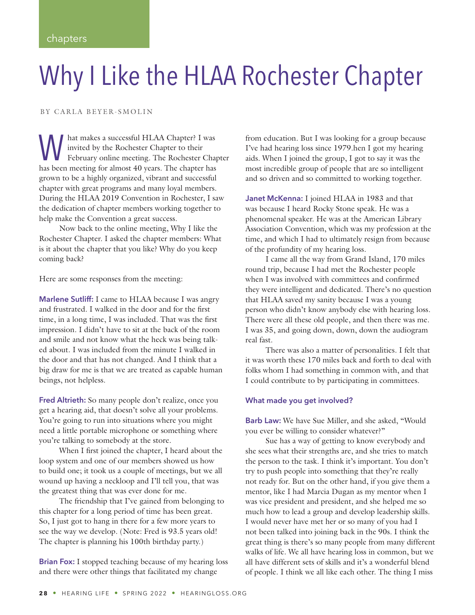# Why I Like the HLAA Rochester Chapter

BY CARLA BEYER-SMOLIN

M hat makes a successful HLAA Chapter? I was<br>invited by the Rochester Chapter to their<br>February online meeting. The Rochester Chap<br>has been meeting for almost 40 years. The chapter has invited by the Rochester Chapter to their February online meeting. The Rochester Chapter has been meeting for almost 40 years. The chapter has grown to be a highly organized, vibrant and successful chapter with great programs and many loyal members. During the HLAA 2019 Convention in Rochester, I saw the dedication of chapter members working together to help make the Convention a great success.

Now back to the online meeting, Why I like the Rochester Chapter. I asked the chapter members: What is it about the chapter that you like? Why do you keep coming back?

Here are some responses from the meeting:

**Marlene Sutliff:** I came to HLAA because I was angry and frustrated. I walked in the door and for the first time, in a long time, I was included. That was the first impression. I didn't have to sit at the back of the room and smile and not know what the heck was being talked about. I was included from the minute I walked in the door and that has not changed. And I think that a big draw for me is that we are treated as capable human beings, not helpless.

**Fred Altrieth:** So many people don't realize, once you get a hearing aid, that doesn't solve all your problems. You're going to run into situations where you might need a little portable microphone or something where you're talking to somebody at the store.

When I first joined the chapter, I heard about the loop system and one of our members showed us how to build one; it took us a couple of meetings, but we all wound up having a neckloop and I'll tell you, that was the greatest thing that was ever done for me.

The friendship that I've gained from belonging to this chapter for a long period of time has been great. So, I just got to hang in there for a few more years to see the way we develop. (Note: Fred is 93.5 years old! The chapter is planning his 100th birthday party.)

**Brian Fox:** I stopped teaching because of my hearing loss and there were other things that facilitated my change

from education. But I was looking for a group because I've had hearing loss since 1979.hen I got my hearing aids. When I joined the group, I got to say it was the most incredible group of people that are so intelligent and so driven and so committed to working together.

**Janet McKenna:** I joined HLAA in 1983 and that was because I heard Rocky Stone speak. He was a phenomenal speaker. He was at the American Library Association Convention, which was my profession at the time, and which I had to ultimately resign from because of the profundity of my hearing loss.

I came all the way from Grand Island, 170 miles round trip, because I had met the Rochester people when I was involved with committees and confirmed they were intelligent and dedicated. There's no question that HLAA saved my sanity because I was a young person who didn't know anybody else with hearing loss. There were all these old people, and then there was me. I was 35, and going down, down, down the audiogram real fast.

There was also a matter of personalities. I felt that it was worth these 170 miles back and forth to deal with folks whom I had something in common with, and that I could contribute to by participating in committees.

#### **What made you get involved?**

**Barb Law:** We have Sue Miller, and she asked, "Would you ever be willing to consider whatever?"

Sue has a way of getting to know everybody and she sees what their strengths are, and she tries to match the person to the task. I think it's important. You don't try to push people into something that they're really not ready for. But on the other hand, if you give them a mentor, like I had Marcia Dugan as my mentor when I was vice president and president, and she helped me so much how to lead a group and develop leadership skills. I would never have met her or so many of you had I not been talked into joining back in the 90s. I think the great thing is there's so many people from many different walks of life. We all have hearing loss in common, but we all have different sets of skills and it's a wonderful blend of people. I think we all like each other. The thing I miss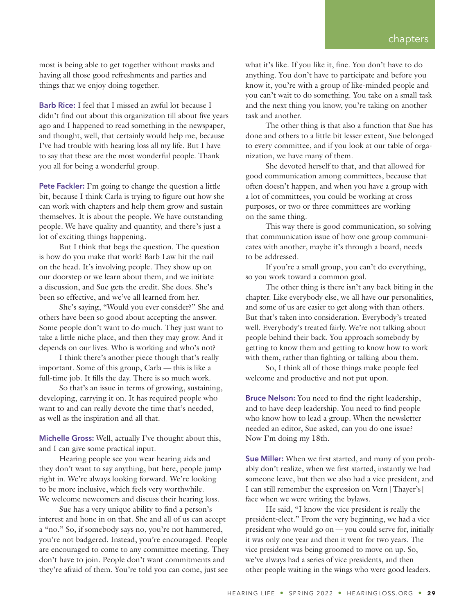most is being able to get together without masks and having all those good refreshments and parties and things that we enjoy doing together.

**Barb Rice:** I feel that I missed an awful lot because I didn't find out about this organization till about five years ago and I happened to read something in the newspaper, and thought, well, that certainly would help me, because I've had trouble with hearing loss all my life. But I have to say that these are the most wonderful people. Thank you all for being a wonderful group.

**Pete Fackler:** I'm going to change the question a little bit, because I think Carla is trying to figure out how she can work with chapters and help them grow and sustain themselves. It is about the people. We have outstanding people. We have quality and quantity, and there's just a lot of exciting things happening.

But I think that begs the question. The question is how do you make that work? Barb Law hit the nail on the head. It's involving people. They show up on our doorstep or we learn about them, and we initiate a discussion, and Sue gets the credit. She does. She's been so effective, and we've all learned from her.

She's saying, "Would you ever consider?" She and others have been so good about accepting the answer. Some people don't want to do much. They just want to take a little niche place, and then they may grow. And it depends on our lives. Who is working and who's not?

I think there's another piece though that's really important. Some of this group, Carla — this is like a full-time job. It fills the day. There is so much work.

So that's an issue in terms of growing, sustaining, developing, carrying it on. It has required people who want to and can really devote the time that's needed, as well as the inspiration and all that.

**Michelle Gross:** Well, actually I've thought about this, and I can give some practical input.

Hearing people see you wear hearing aids and they don't want to say anything, but here, people jump right in. We're always looking forward. We're looking to be more inclusive, which feels very worthwhile. We welcome newcomers and discuss their hearing loss.

Sue has a very unique ability to find a person's interest and hone in on that. She and all of us can accept a "no." So, if somebody says no, you're not hammered, you're not badgered. Instead, you're encouraged. People are encouraged to come to any committee meeting. They don't have to join. People don't want commitments and they're afraid of them. You're told you can come, just see

what it's like. If you like it, fine. You don't have to do anything. You don't have to participate and before you know it, you're with a group of like-minded people and you can't wait to do something. You take on a small task and the next thing you know, you're taking on another task and another.

The other thing is that also a function that Sue has done and others to a little bit lesser extent, Sue belonged to every committee, and if you look at our table of organization, we have many of them.

She devoted herself to that, and that allowed for good communication among committees, because that often doesn't happen, and when you have a group with a lot of committees, you could be working at cross purposes, or two or three committees are working on the same thing.

This way there is good communication, so solving that communication issue of how one group communicates with another, maybe it's through a board, needs to be addressed.

If you're a small group, you can't do everything, so you work toward a common goal.

The other thing is there isn't any back biting in the chapter. Like everybody else, we all have our personalities, and some of us are easier to get along with than others. But that's taken into consideration. Everybody's treated well. Everybody's treated fairly. We're not talking about people behind their back. You approach somebody by getting to know them and getting to know how to work with them, rather than fighting or talking abou them.

So, I think all of those things make people feel welcome and productive and not put upon.

**Bruce Nelson:** You need to find the right leadership, and to have deep leadership. You need to find people who know how to lead a group. When the newsletter needed an editor, Sue asked, can you do one issue? Now I'm doing my 18th.

**Sue Miller:** When we first started, and many of you probably don't realize, when we first started, instantly we had someone leave, but then we also had a vice president, and I can still remember the expression on Vern [Thayer's] face when we were writing the bylaws.

He said, "I know the vice president is really the president-elect." From the very beginning, we had a vice president who would go on — you could serve for, initially it was only one year and then it went for two years. The vice president was being groomed to move on up. So, we've always had a series of vice presidents, and then other people waiting in the wings who were good leaders.